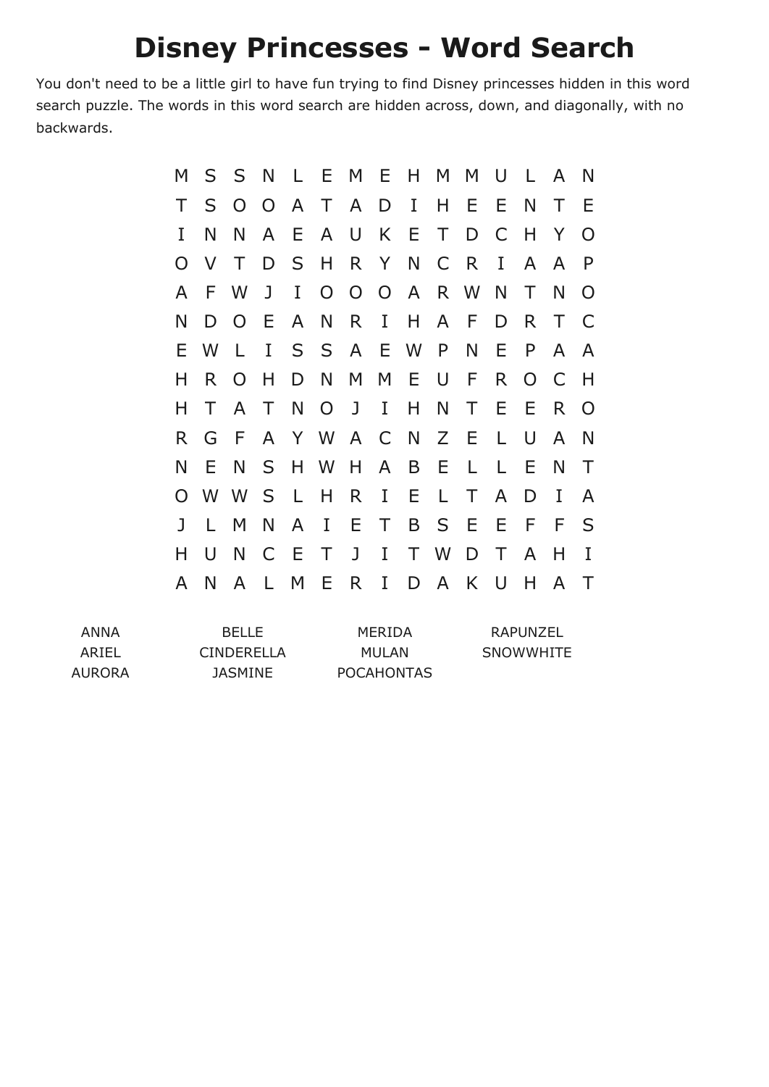## **Disney Princesses - Word Search**

You don't need to be a little girl to have fun trying to find Disney princesses hidden in this word search puzzle. The words in this word search are hidden across, down, and diagonally, with no backwards.

| M        | S      | S              | N            |              | L E M E H M M   |          |              |             |              |        | U            | $\mathsf{L}$ | A            | N              |
|----------|--------|----------------|--------------|--------------|-----------------|----------|--------------|-------------|--------------|--------|--------------|--------------|--------------|----------------|
| Τ        | S      | $\overline{O}$ |              | O A          | $\top$          |          | A D I        |             | $H$ E        |        | E            | N            | $\top$       | E              |
| I        | N      | N              | A            | E.           | A               | <b>U</b> | K E          |             | $\top$       | D      | C            | H            | Y            | $\Omega$       |
| $\Omega$ | V      | $\top$         | D            |              | SHRYNCR         |          |              |             |              |        | $\bf{I}$     | $\mathsf{A}$ | A            | P              |
| A        | F      | W              | J            | $\mathbf{I}$ |                 |          |              | O O O A R W |              |        | N            | T            | N            | O              |
| N        | D      | $\overline{O}$ | E            | $\mathsf{A}$ |                 | N R      | $\mathbf{I}$ | H           |              | A F    | D            | R.           | $\top$       | $\mathsf{C}$   |
| E.       | W      | $\mathsf{L}$   | $\mathbf I$  |              | S S A E W P     |          |              |             |              | N      | Ε            | P            | $\mathsf{A}$ | $\overline{A}$ |
| н        | R.     | $\overline{O}$ | H            |              | D N M M E U     |          |              |             |              | F      | R            | $O$ $C$      |              | H              |
| н        | T      | A              | $\top$       | N            | $\overline{O}$  | J        | $\mathbf{I}$ | H.          | N            | $\top$ | E            | E            | $\mathsf{R}$ | $\Omega$       |
| R.       | G      | - F            |              |              | A Y W A C N Z E |          |              |             |              |        | L            | U            | $\mathsf{A}$ | N              |
| N        | E      | N              |              |              | S H W H         |          | $\mathsf{A}$ | B           | E            | L      | L            | E            | N            | $\top$         |
| $\Omega$ |        | W W            | S            | $-L$         | H R             |          |              | I E         | $\mathsf{L}$ | T.     | $\mathsf{A}$ | D            | I            | A              |
| J        | L.     | M              | N            | A            | $\bf{I}$        | E        | $\top$       | B           | S E          |        | E            | F            | -F           | S              |
| н        | $\cup$ | N              | $\mathsf{C}$ | - E          | $\top$          | J        | $\mathbf{I}$ |             | T W D        |        | $\top$       | A            | Н            | I              |
| A        | N      | A              | L            | M            | Е               | R.       | I            | D           |              | A K    | $\cup$       | н            | A            | Τ              |

| ANNA   | <b>BELLE</b>   | MERIDA            | RAPUNZEL  |
|--------|----------------|-------------------|-----------|
| ARIEL  | CINDERELLA     | MULAN             | SNOWWHITE |
| AURORA | <b>JASMINE</b> | <b>POCAHONTAS</b> |           |